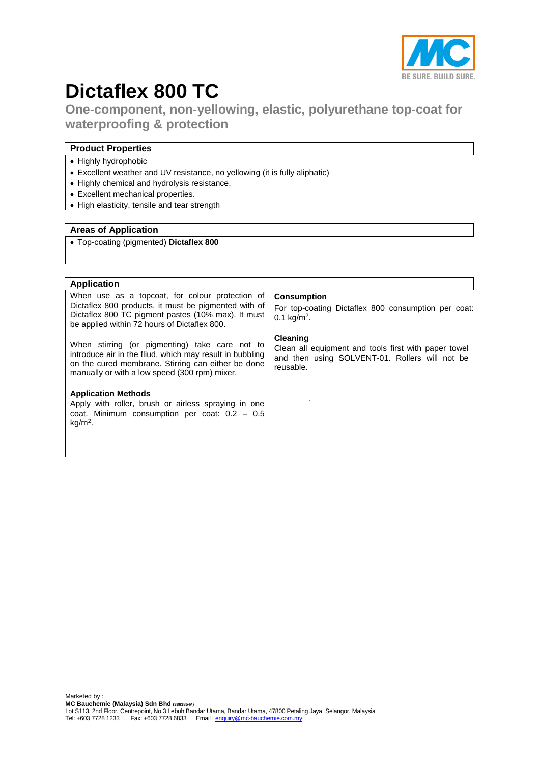

# **Dictaflex 800 TC**

**One-component, non-yellowing, elastic, polyurethane top-coat for waterproofing & protection**

# **Product Properties**

- Highly hydrophobic
- Excellent weather and UV resistance, no yellowing (it is fully aliphatic)
- Highly chemical and hydrolysis resistance.
- Excellent mechanical properties.
- High elasticity, tensile and tear strength

## **Areas of Application**

Top-coating (pigmented) **Dictaflex 800**

#### **Application**

When use as a topcoat, for colour protection of Dictaflex 800 products, it must be pigmented with of Dictaflex 800 TC pigment pastes (10% max). It must be applied within 72 hours of Dictaflex 800.

When stirring (or pigmenting) take care not to introduce air in the fliud, which may result in bubbling on the cured membrane. Stirring can either be done manually or with a low speed (300 rpm) mixer.

## **Application Methods**

Apply with roller, brush or airless spraying in one coat. Minimum consumption per coat: 0.2 – 0.5 kg/m<sup>2</sup> .

## **Consumption**

.

For top-coating Dictaflex 800 consumption per coat:  $0.1 \text{ kg/m}^2$ .

#### **Cleaning**

Clean all equipment and tools first with paper towel and then using SOLVENT-01. Rollers will not be reusable.

 $\_$  ,  $\_$  ,  $\_$  ,  $\_$  ,  $\_$  ,  $\_$  ,  $\_$  ,  $\_$  ,  $\_$  ,  $\_$  ,  $\_$  ,  $\_$  ,  $\_$  ,  $\_$  ,  $\_$  ,  $\_$  ,  $\_$  ,  $\_$  ,  $\_$  ,  $\_$  ,  $\_$  ,  $\_$  ,  $\_$  ,  $\_$  ,  $\_$  ,  $\_$  ,  $\_$  ,  $\_$  ,  $\_$  ,  $\_$  ,  $\_$  ,  $\_$  ,  $\_$  ,  $\_$  ,  $\_$  ,  $\_$  ,  $\_$  ,